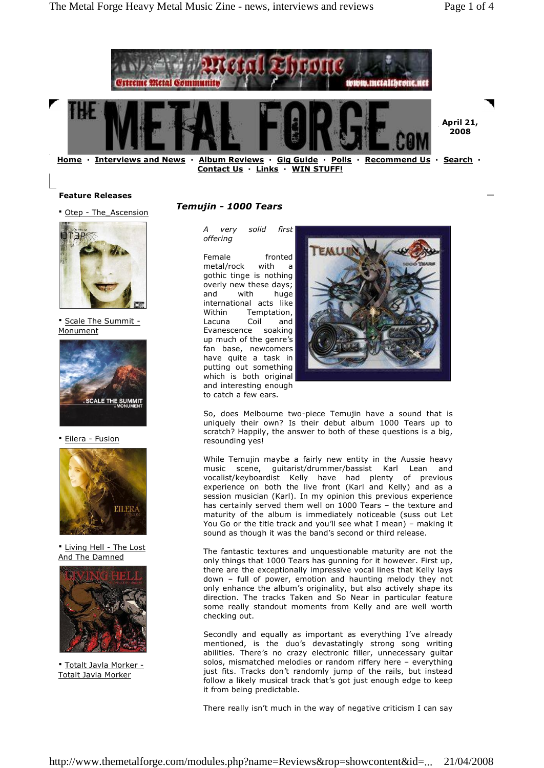

**Contact Us · Links · WIN STUFF!**

### **Feature Releases**

**·** Otep - The\_Ascension



**·** Scale The Summit - Monument



**·** Eilera - Fusion



**·** Living Hell - The Lost And The Damned



**·** Totalt Javla Morker - Totalt Javla Morker

# *Temujin - 1000 Tears*

*A very solid first offering*

Female fronted metal/rock with a gothic tinge is nothing overly new these days; and with huge international acts like Within Temptation, Lacuna Coil and Evanescence soaking up much of the genre's fan base, newcomers have quite a task in putting out something which is both original and interesting enough to catch a few ears.



So, does Melbourne two-piece Temujin have a sound that is uniquely their own? Is their debut album 1000 Tears up to scratch? Happily, the answer to both of these questions is a big, resounding yes!

While Temujin maybe a fairly new entity in the Aussie heavy music scene, guitarist/drummer/bassist Karl Lean and vocalist/keyboardist Kelly have had plenty of previous experience on both the live front (Karl and Kelly) and as a session musician (Karl). In my opinion this previous experience has certainly served them well on  $1000$  Tears - the texture and maturity of the album is immediately noticeable (suss out Let You Go or the title track and you'll see what I mean) – making it sound as though it was the band's second or third release.

The fantastic textures and unquestionable maturity are not the only things that 1000 Tears has gunning for it however. First up, there are the exceptionally impressive vocal lines that Kelly lays down - full of power, emotion and haunting melody they not only enhance the album's originality, but also actively shape its direction. The tracks Taken and So Near in particular feature some really standout moments from Kelly and are well worth checking out.

Secondly and equally as important as everything I've already mentioned, is the duo's devastatingly strong song writing abilities. There's no crazy electronic filler, unnecessary guitar solos, mismatched melodies or random riffery here - everything just fits. Tracks don't randomly jump of the rails, but instead follow a likely musical track that's got just enough edge to keep it from being predictable.

There really isn't much in the way of negative criticism I can say